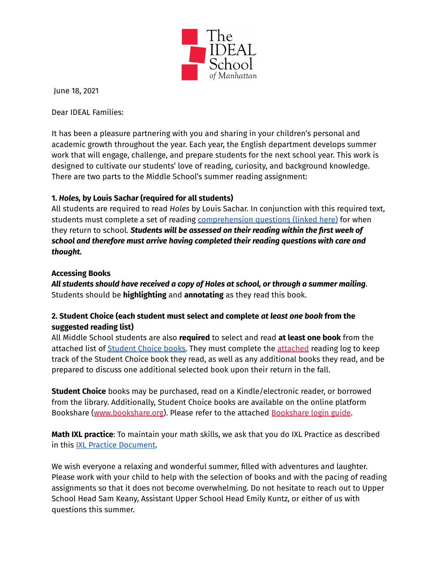

June 18, 2021

Dear IDEAL Families:

It has been a pleasure partnering with you and sharing in your children's personal and academic growth throughout the year. Each year, the English department develops summer work that will engage, challenge, and prepare students for the next school year. This work is designed to cultivate our students' love of reading, curiosity, and background knowledge. There are two parts to the Middle School's summer reading assignment:

## **1.** *Holes,* **by Louis Sachar (required for all students)**

All students are required to read *Holes* by Louis Sachar. In conjunction with this required text, students must complete a set of reading [comprehension](https://drive.google.com/file/d/1AcyneRmxn49oiactnX2HlBSjJRRrRG50/view?usp=sharing) questions (linked here) for when they return to school. *Students will be assessed on their reading within the first week of school and therefore must arrive having completed their reading questions with care and thought.*

## **Accessing Books**

*All students should have received a copy of Holes at school, or through a summer mailing*. Students should be **highlighting** and **annotating** as they read this book.

## **2. Student Choice (each student must select and complete** *at least one book* **from the suggested reading list)**

All Middle School students are also **required** to select and read **at least one book** from the attached list of [Student](https://drive.google.com/file/d/1SZtsTZ9W-oPyyWpq_h78LZqZTYvjRggD/view?usp=sharing) Choice books. They must complete the [attached](https://drive.google.com/file/d/1c00pjGWqo4Tam_wzuL3yHZ9WCiZLwpN2/view?usp=sharing) reading log to keep track of the Student Choice book they read, as well as any additional books they read, and be prepared to discuss one additional selected book upon their return in the fall.

**Student Choice** books may be purchased, read on a Kindle/electronic reader, or borrowed from the library. Additionally, Student Choice books are available on the online platform Bookshare [\(www.bookshare.org](http://www.bookshare.org)). Please refer to the attached [Bookshare](https://drive.google.com/file/d/12UnwMfIrba1rMrHn3zvlliKU2YrDJOfI/view?usp=sharing) login guide.

**Math IXL practice**: To maintain your math skills, we ask that you do IXL Practice as described in this IXL Practice [Document.](https://drive.google.com/file/d/1RzxwvcZz1d9-xNaA0tZ-EaA_3imuLyBk/view?usp=sharing)

We wish everyone a relaxing and wonderful summer, filled with adventures and laughter. Please work with your child to help with the selection of books and with the pacing of reading assignments so that it does not become overwhelming. Do not hesitate to reach out to Upper School Head Sam Keany, Assistant Upper School Head Emily Kuntz, or either of us with questions this summer.